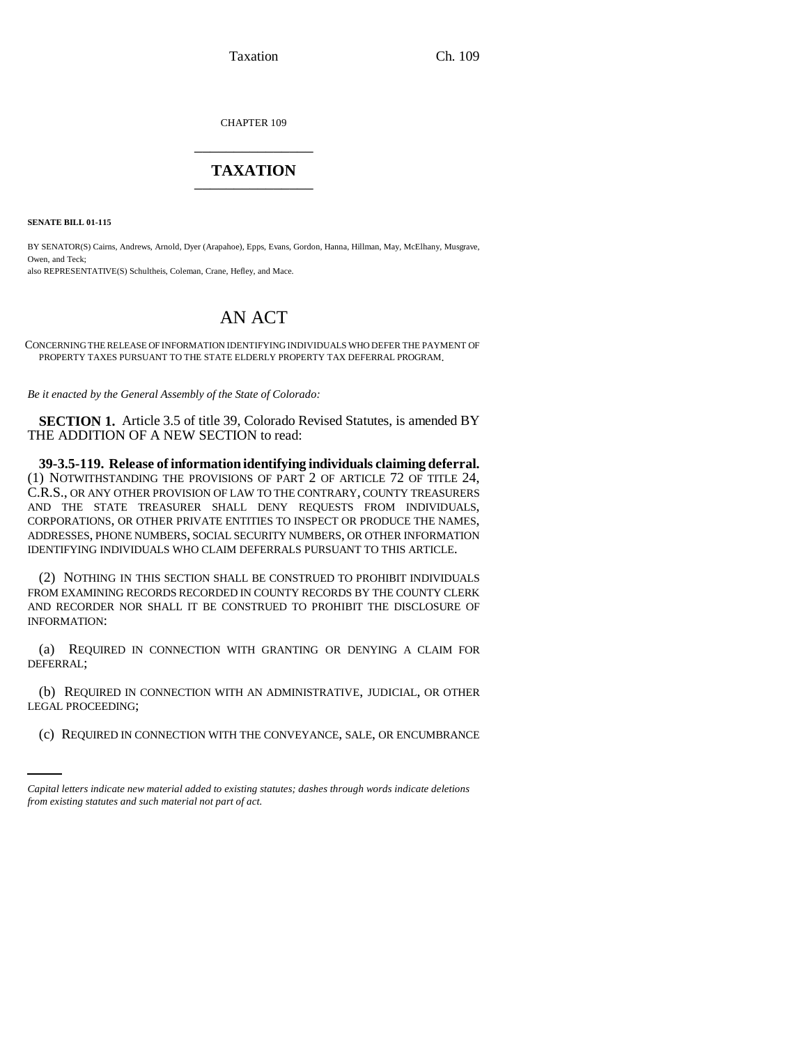Taxation Ch. 109

CHAPTER 109 \_\_\_\_\_\_\_\_\_\_\_\_\_\_\_

## **TAXATION** \_\_\_\_\_\_\_\_\_\_\_\_\_\_\_

**SENATE BILL 01-115**

BY SENATOR(S) Cairns, Andrews, Arnold, Dyer (Arapahoe), Epps, Evans, Gordon, Hanna, Hillman, May, McElhany, Musgrave, Owen, and Teck; also REPRESENTATIVE(S) Schultheis, Coleman, Crane, Hefley, and Mace.

## AN ACT

CONCERNING THE RELEASE OF INFORMATION IDENTIFYING INDIVIDUALS WHO DEFER THE PAYMENT OF PROPERTY TAXES PURSUANT TO THE STATE ELDERLY PROPERTY TAX DEFERRAL PROGRAM.

*Be it enacted by the General Assembly of the State of Colorado:*

**SECTION 1.** Article 3.5 of title 39, Colorado Revised Statutes, is amended BY THE ADDITION OF A NEW SECTION to read:

**39-3.5-119. Release of information identifying individuals claiming deferral.** (1) NOTWITHSTANDING THE PROVISIONS OF PART 2 OF ARTICLE 72 OF TITLE 24, C.R.S., OR ANY OTHER PROVISION OF LAW TO THE CONTRARY, COUNTY TREASURERS AND THE STATE TREASURER SHALL DENY REQUESTS FROM INDIVIDUALS, CORPORATIONS, OR OTHER PRIVATE ENTITIES TO INSPECT OR PRODUCE THE NAMES, ADDRESSES, PHONE NUMBERS, SOCIAL SECURITY NUMBERS, OR OTHER INFORMATION IDENTIFYING INDIVIDUALS WHO CLAIM DEFERRALS PURSUANT TO THIS ARTICLE.

(2) NOTHING IN THIS SECTION SHALL BE CONSTRUED TO PROHIBIT INDIVIDUALS FROM EXAMINING RECORDS RECORDED IN COUNTY RECORDS BY THE COUNTY CLERK AND RECORDER NOR SHALL IT BE CONSTRUED TO PROHIBIT THE DISCLOSURE OF INFORMATION:

(a) REQUIRED IN CONNECTION WITH GRANTING OR DENYING A CLAIM FOR DEFERRAL;

LEGAL PROCEEDING; (b) REQUIRED IN CONNECTION WITH AN ADMINISTRATIVE, JUDICIAL, OR OTHER

(c) REQUIRED IN CONNECTION WITH THE CONVEYANCE, SALE, OR ENCUMBRANCE

*Capital letters indicate new material added to existing statutes; dashes through words indicate deletions from existing statutes and such material not part of act.*